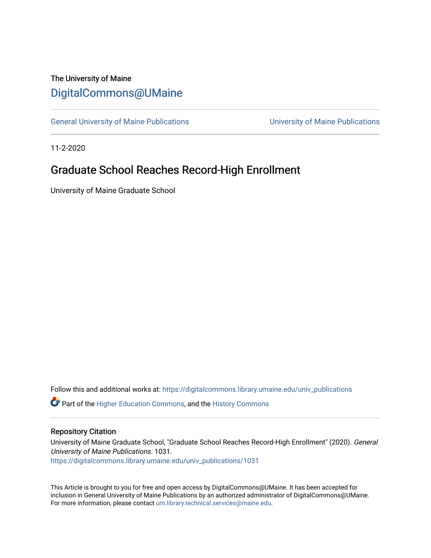# The University of Maine [DigitalCommons@UMaine](https://digitalcommons.library.umaine.edu/)

[General University of Maine Publications](https://digitalcommons.library.umaine.edu/univ_publications) [University of Maine Publications](https://digitalcommons.library.umaine.edu/umaine_publications) 

11-2-2020

# Graduate School Reaches Record-High Enrollment

University of Maine Graduate School

Follow this and additional works at: [https://digitalcommons.library.umaine.edu/univ\\_publications](https://digitalcommons.library.umaine.edu/univ_publications?utm_source=digitalcommons.library.umaine.edu%2Funiv_publications%2F1031&utm_medium=PDF&utm_campaign=PDFCoverPages) 

**C** Part of the [Higher Education Commons,](http://network.bepress.com/hgg/discipline/1245?utm_source=digitalcommons.library.umaine.edu%2Funiv_publications%2F1031&utm_medium=PDF&utm_campaign=PDFCoverPages) and the [History Commons](http://network.bepress.com/hgg/discipline/489?utm_source=digitalcommons.library.umaine.edu%2Funiv_publications%2F1031&utm_medium=PDF&utm_campaign=PDFCoverPages)

### Repository Citation

University of Maine Graduate School, "Graduate School Reaches Record-High Enrollment" (2020). General University of Maine Publications. 1031. [https://digitalcommons.library.umaine.edu/univ\\_publications/1031](https://digitalcommons.library.umaine.edu/univ_publications/1031?utm_source=digitalcommons.library.umaine.edu%2Funiv_publications%2F1031&utm_medium=PDF&utm_campaign=PDFCoverPages)

This Article is brought to you for free and open access by DigitalCommons@UMaine. It has been accepted for inclusion in General University of Maine Publications by an authorized administrator of DigitalCommons@UMaine. For more information, please contact [um.library.technical.services@maine.edu](mailto:um.library.technical.services@maine.edu).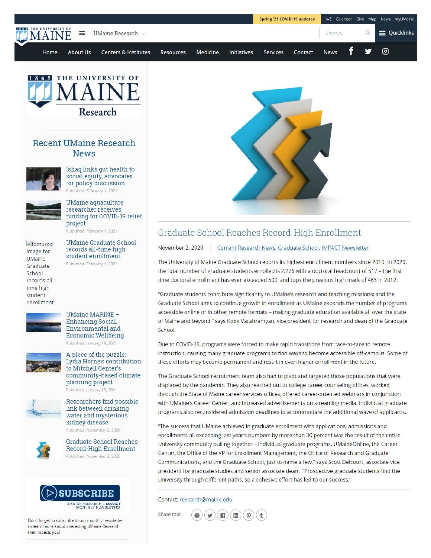



## **Recent UMaine Research News**



Ishaq links gut health to social equity, advocates for policy discussion Published: February 1, 2021



UMaine aquaculture researcher receives funding for COVID-19 relief project Published: February 1, 2021

 $E$ featured image for **UMaine** Graduate School records alltime high student enrollment

UMaine Graduate School records all-time high student enrollment Published: February 1, 2021



#### UMaine MARINE - Enhancing Social, Environmental and Economic Wellbeing Published: January 14, 2021



A piece of the puzzle Lydia Home's contribution to Mitchell Center's community-based climate planning project Published: January 13, 2021



Researchers find possible link between drinking water and mysterious kidney disease Published: November 2, 2020



Graduate School Reaches Record-High Enrollment Published: November 2, 2020



Don't forget to subscribe to our monthly newsletter **to learn more about interesting UMaine Research that impacts you!** 



## Graduate School Reaches Record-High Enrollment

November 2, 2020 | Current Research News, Graduate School, IMPACT Newsletter

The University of Maine Graduate School reports its highest enrollment numbers since 2010. In 2020, the total number of graduate students enrolled is 2,276 with a doctoral headcount of 517 - the first time doctoral enrollment has ever exceeded 500, and tops the previous high mark of 463 in 2012.

"Graduate students contribute significantly to UMaine's research and teaching missions; and the Graduate School aims to continue growth in enrollment as UMaine expands the number of programs accessible online or in other remote formats - making graduate education available all over the state of Maine and beyond," says Kody Varahramyan, vice president for research and dean of the Graduate School.

Due to COVID-19, programs were forced to make rapid transitions from face-to-face to remote instruction, causing many graduate programs to find ways to become accessible off-campus. Some of these efforts may become permanent and result in even higher enrollment in the future.

The Graduate School recruitment team also had to pivot and targeted those populations that were displaced by the pandemic. They also reached out to college career counseling offices, worked through the State of Maine career services offices, offered career-oriented webinars in conjunction with UMaine's Career Center, and increased advertisements on streaming media. Individual graduate programs also reconsidered admission deadlines to accommodate the additional wave of applicants.

"The success that UMaine achieved in graduate enrollment with applications, admissions and enrollments all exceeding last year's numbers by more than 30 percent was the result of the entire University community pulling together - individual graduate programs, UMaineOnline, the Career Center, the Office of the VP for Enrollment Management, the Office of Research and Graduate Communications, and the Graduate School, just to name a few," says Scott Delcourt, associate vice president for graduate studies and senior associate dean. "Prospective graduate students find the University through different paths, so a cohesive effort has led to our success."

#### Contact: research@maine.edu

Share this:  $\mathbf{H}$ ) ( $\mathbf{H}$ )  $\mathcal{P}$